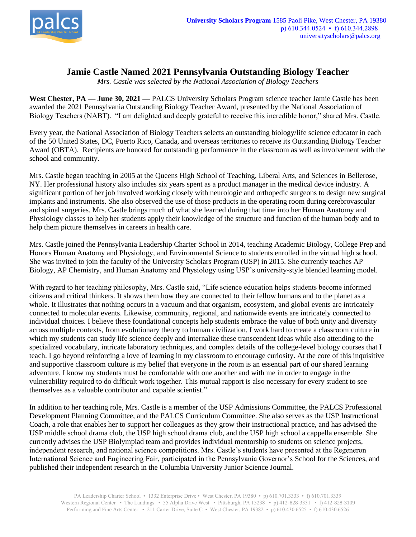

## **Jamie Castle Named 2021 Pennsylvania Outstanding Biology Teacher**

*Mrs. Castle was selected by the National Association of Biology Teachers*

**West Chester, PA — June 30, 2021 —** PALCS University Scholars Program science teacher Jamie Castle has been awarded the 2021 Pennsylvania Outstanding Biology Teacher Award, presented by the National Association of Biology Teachers (NABT). "I am delighted and deeply grateful to receive this incredible honor," shared Mrs. Castle.

Every year, the National Association of Biology Teachers selects an outstanding biology/life science educator in each of the 50 United States, DC, Puerto Rico, Canada, and overseas territories to receive its Outstanding Biology Teacher Award (OBTA). Recipients are honored for outstanding performance in the classroom as well as involvement with the school and community.

Mrs. Castle began teaching in 2005 at the Queens High School of Teaching, Liberal Arts, and Sciences in Bellerose, NY. Her professional history also includes six years spent as a product manager in the medical device industry. A significant portion of her job involved working closely with neurologic and orthopedic surgeons to design new surgical implants and instruments. She also observed the use of those products in the operating room during cerebrovascular and spinal surgeries. Mrs. Castle brings much of what she learned during that time into her Human Anatomy and Physiology classes to help her students apply their knowledge of the structure and function of the human body and to help them picture themselves in careers in health care.

Mrs. Castle joined the Pennsylvania Leadership Charter School in 2014, teaching Academic Biology, College Prep and Honors Human Anatomy and Physiology, and Environmental Science to students enrolled in the virtual high school. She was invited to join the faculty of the University Scholars Program (USP) in 2015. She currently teaches AP Biology, AP Chemistry, and Human Anatomy and Physiology using USP's university-style blended learning model.

With regard to her teaching philosophy, Mrs. Castle said, "Life science education helps students become informed citizens and critical thinkers. It shows them how they are connected to their fellow humans and to the planet as a whole. It illustrates that nothing occurs in a vacuum and that organism, ecosystem, and global events are intricately connected to molecular events. Likewise, community, regional, and nationwide events are intricately connected to individual choices. I believe these foundational concepts help students embrace the value of both unity and diversity across multiple contexts, from evolutionary theory to human civilization. I work hard to create a classroom culture in which my students can study life science deeply and internalize these transcendent ideas while also attending to the specialized vocabulary, intricate laboratory techniques, and complex details of the college-level biology courses that I teach. I go beyond reinforcing a love of learning in my classroom to encourage curiosity. At the core of this inquisitive and supportive classroom culture is my belief that everyone in the room is an essential part of our shared learning adventure. I know my students must be comfortable with one another and with me in order to engage in the vulnerability required to do difficult work together. This mutual rapport is also necessary for every student to see themselves as a valuable contributor and capable scientist."

In addition to her teaching role, Mrs. Castle is a member of the USP Admissions Committee, the PALCS Professional Development Planning Committee, and the PALCS Curriculum Committee. She also serves as the USP Instructional Coach, a role that enables her to support her colleagues as they grow their instructional practice, and has advised the USP middle school drama club, the USP high school drama club, and the USP high school a cappella ensemble. She currently advises the USP Biolympiad team and provides individual mentorship to students on science projects, independent research, and national science competitions. Mrs. Castle's students have presented at the Regeneron International Science and Engineering Fair, participated in the Pennsylvania Governor's School for the Sciences, and published their independent research in the Columbia University Junior Science Journal.